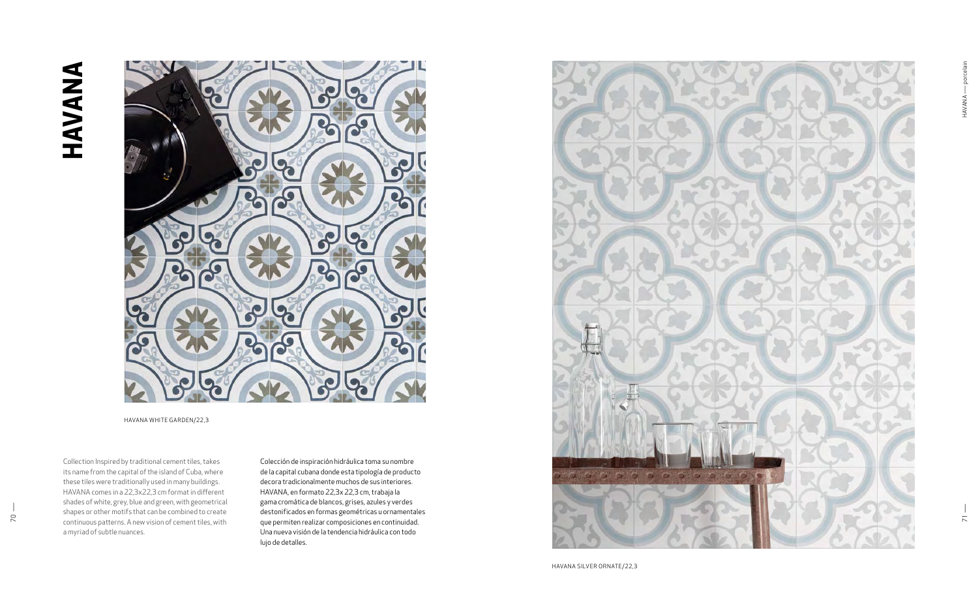Colección de inspiración hidráulica toma su nombre de la capital cubana donde esta tipología de producto decora tradicionalmente muchos de sus interiores. HAVANA, en formato 22,3x 22,3 cm, trabaja la gama cromática de blancos, grises, azules y verdes destonificados en formas geométricas u ornamentales que permiten realizar composiciones en continuidad. Una nueva visión de la tendencia hidráulica con todo lujo de detalles.

Collection Inspired by traditional cement tiles, takes its name from the capital of the island of Cuba, where these tiles were traditionally used in many buildings. HAVANA comes in a 22,3x22,3 cm format in different shades of white, grey, blue and green, with geometrical shapes or other motifs that can be combined to create continuous patterns. A new vision of cement tiles, with a myriad of subtle nuances.



HAVANA SILVER ORNATE/22,3



HAVANA WHITE GARDEN/22,3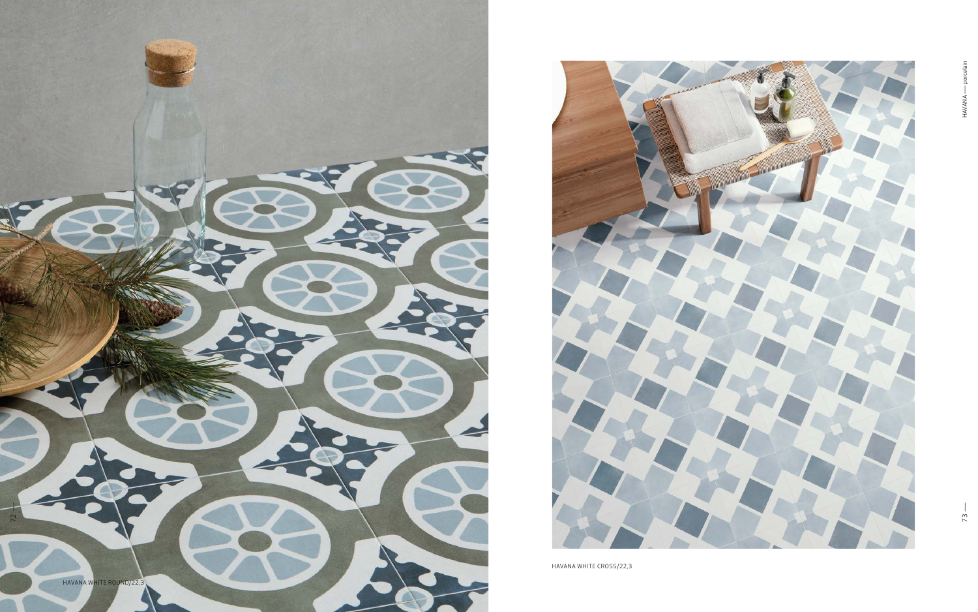



HAVANA WHITE CROSS/22,3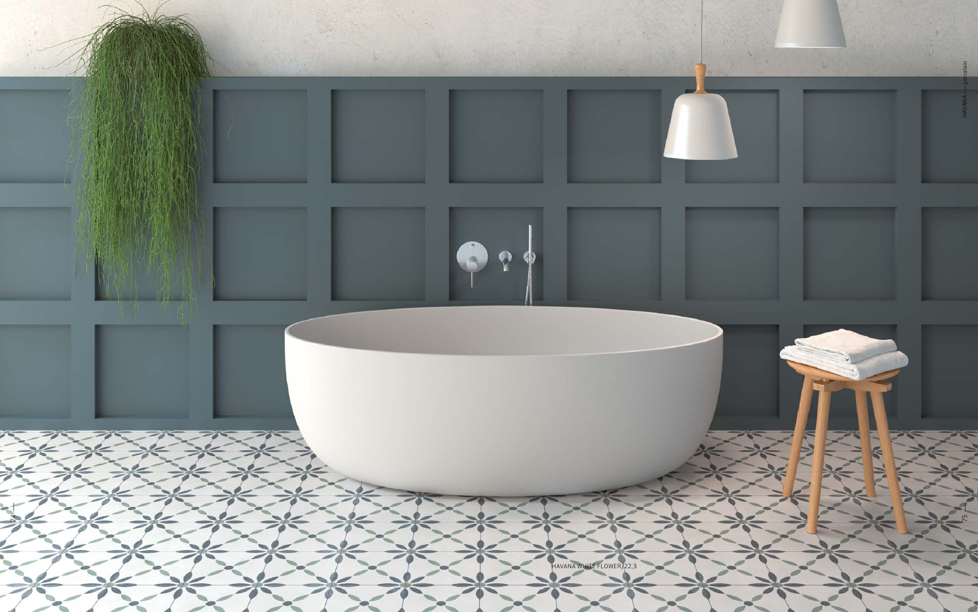